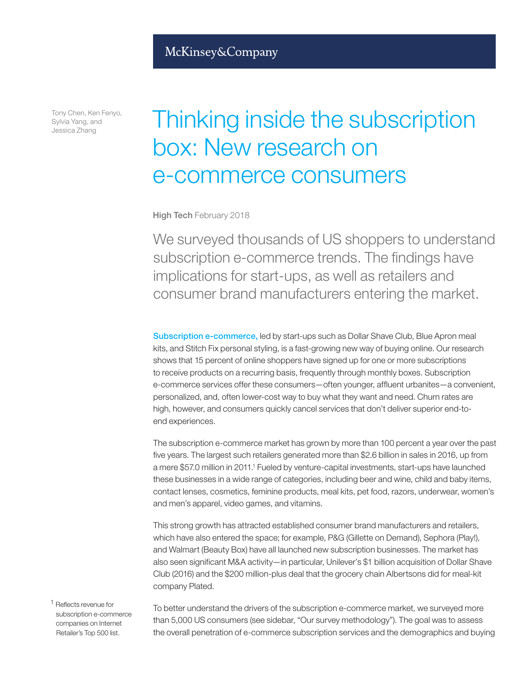Tony Chen, Ken Fenyo, Sylvia Yang, and Jessica Zhang

# Thinking inside the subscription box: New research on e-commerce consumers

High Tech February 2018

We surveyed thousands of US shoppers to understand subscription e-commerce trends. The findings have implications for start-ups, as well as retailers and consumer brand manufacturers entering the market.

Subscription e-commerce, led by start-ups such as Dollar Shave Club, Blue Apron meal kits, and Stitch Fix personal styling, is a fast-growing new way of buying online. Our research shows that 15 percent of online shoppers have signed up for one or more subscriptions to receive products on a recurring basis, frequently through monthly boxes. Subscription e-commerce services offer these consumers—often younger, affluent urbanites—a convenient, personalized, and, often lower-cost way to buy what they want and need. Churn rates are high, however, and consumers quickly cancel services that don't deliver superior end-toend experiences.

The subscription e-commerce market has grown by more than 100 percent a year over the past five years. The largest such retailers generated more than \$2.6 billion in sales in 2016, up from a mere \$57.0 million in 2011.<sup>1</sup> Fueled by venture-capital investments, start-ups have launched these businesses in a wide range of categories, including beer and wine, child and baby items, contact lenses, cosmetics, feminine products, meal kits, pet food, razors, underwear, women's and men's apparel, video games, and vitamins.

This strong growth has attracted established consumer brand manufacturers and retailers, which have also entered the space; for example, P&G (Gillette on Demand), Sephora (Play!), and Walmart (Beauty Box) have all launched new subscription businesses. The market has also seen significant M&A activity—in particular, Unilever's \$1 billion acquisition of Dollar Shave Club (2016) and the \$200 million-plus deal that the grocery chain Albertsons did for meal-kit company Plated.

<sup>1</sup> Reflects revenue for subscription e-commerce companies on Internet Retailer's Top 500 list.

To better understand the drivers of the subscription e-commerce market, we surveyed more than 5,000 US consumers (see sidebar, "Our survey methodology"). The goal was to assess the overall penetration of e-commerce subscription services and the demographics and buying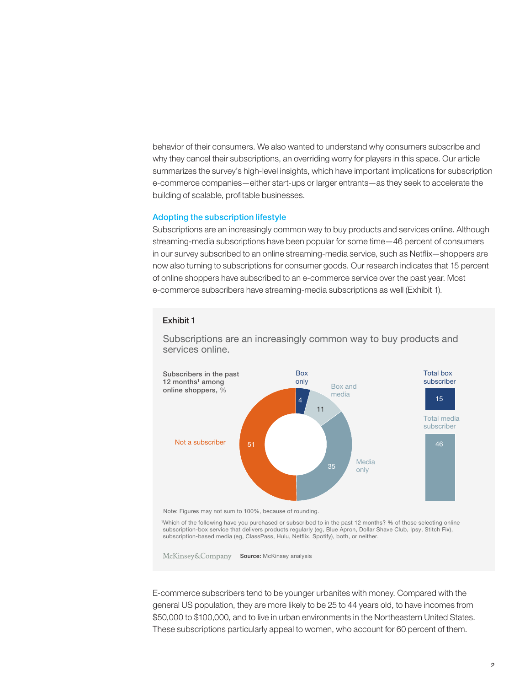behavior of their consumers. We also wanted to understand why consumers subscribe and why they cancel their subscriptions, an overriding worry for players in this space. Our article summarizes the survey's high-level insights, which have important implications for subscription e-commerce companies—either start-ups or larger entrants—as they seek to accelerate the building of scalable, profitable businesses.

#### Adopting the subscription lifestyle

Subscriptions are an increasingly common way to buy products and services online. Although streaming-media subscriptions have been popular for some time—46 percent of consumers in our survey subscribed to an online streaming-media service, such as Netflix—shoppers are now also turning to subscriptions for consumer goods. Our research indicates that 15 percent of online shoppers have subscribed to an e-commerce service over the past year. Most e-commerce subscribers have streaming-media subscriptions as well (Exhibit 1).

Subscriptions are an increasingly common way to buy products and services online.





1Which of the following have you purchased or subscribed to in the past 12 months? % of those selecting online subscription-box service that delivers products regularly (eg, Blue Apron, Dollar Shave Club, Ipsy, Stitch Fix), subscription-based media (eg, ClassPass, Hulu, Netflix, Spotify), both, or neither.

McKinsey&Company | Source: McKinsey analysis

E-commerce subscribers tend to be younger urbanites with money. Compared with the general US population, they are more likely to be 25 to 44 years old, to have incomes from \$50,000 to \$100,000, and to live in urban environments in the Northeastern United States. These subscriptions particularly appeal to women, who account for 60 percent of them.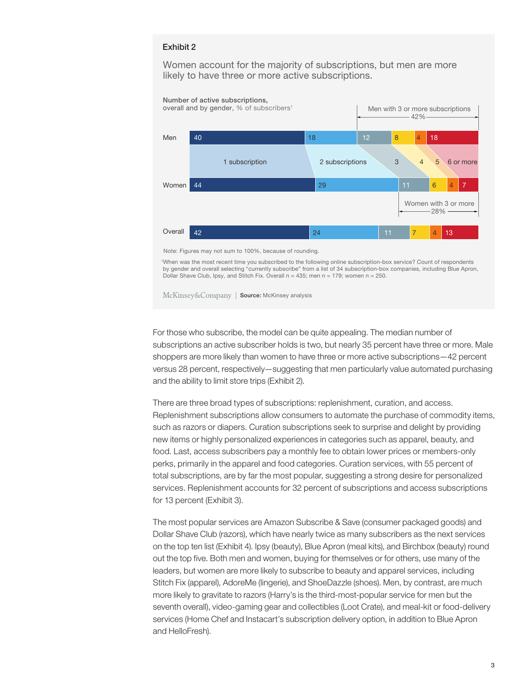Women account for the majority of subscriptions, but men are more likely to have three or more active subscriptions.



Note: Figures may not sum to 100%, because of rounding.

1 When was the most recent time you subscribed to the following online subscription-box service? Count of respondents by gender and overall selecting "currently subscribe" from a list of 34 subscription-box companies, including Blue Apron, Dollar Shave Club, Ipsy, and Stitch Fix. Overall  $n = 435$ ; men  $n = 179$ ; women  $n = 250$ .

McKinsey&Company | Source: McKinsey analysis

For those who subscribe, the model can be quite appealing. The median number of subscriptions an active subscriber holds is two, but nearly 35 percent have three or more. Male shoppers are more likely than women to have three or more active subscriptions—42 percent versus 28 percent, respectively—suggesting that men particularly value automated purchasing and the ability to limit store trips (Exhibit 2).

There are three broad types of subscriptions: replenishment, curation, and access. Replenishment subscriptions allow consumers to automate the purchase of commodity items, such as razors or diapers. Curation subscriptions seek to surprise and delight by providing new items or highly personalized experiences in categories such as apparel, beauty, and food. Last, access subscribers pay a monthly fee to obtain lower prices or members-only perks, primarily in the apparel and food categories. Curation services, with 55 percent of total subscriptions, are by far the most popular, suggesting a strong desire for personalized services. Replenishment accounts for 32 percent of subscriptions and access subscriptions for 13 percent (Exhibit 3).

The most popular services are Amazon Subscribe & Save (consumer packaged goods) and Dollar Shave Club (razors), which have nearly twice as many subscribers as the next services on the top ten list (Exhibit 4). Ipsy (beauty), Blue Apron (meal kits), and Birchbox (beauty) round out the top five. Both men and women, buying for themselves or for others, use many of the leaders, but women are more likely to subscribe to beauty and apparel services, including Stitch Fix (apparel), AdoreMe (lingerie), and ShoeDazzle (shoes). Men, by contrast, are much more likely to gravitate to razors (Harry's is the third-most-popular service for men but the seventh overall), video-gaming gear and collectibles (Loot Crate), and meal-kit or food-delivery services (Home Chef and Instacart's subscription delivery option, in addition to Blue Apron and HelloFresh).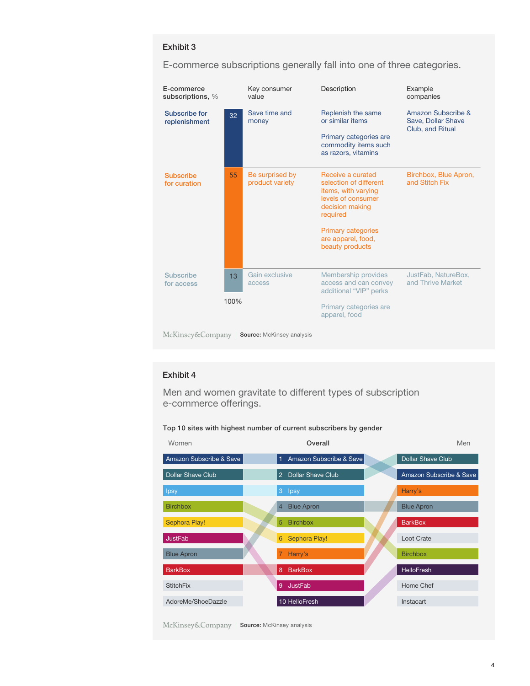### Exhibit 3

| E-commerce<br>subscriptions, %                  |      | Key consumer<br>value              | Description                                                                                                             | Example<br>companies                                         |
|-------------------------------------------------|------|------------------------------------|-------------------------------------------------------------------------------------------------------------------------|--------------------------------------------------------------|
| Subscribe for<br>replenishment                  | 32   | Save time and<br>money             | Replenish the same<br>or similar items                                                                                  | Amazon Subscribe &<br>Save, Dollar Shave<br>Club, and Ritual |
|                                                 |      |                                    | Primary categories are<br>commodity items such<br>as razors, vitamins                                                   |                                                              |
| <b>Subscribe</b><br>for curation                | 55   | Be surprised by<br>product variety | Receive a curated<br>selection of different<br>items, with varying<br>levels of consumer<br>decision making<br>required | Birchbox, Blue Apron,<br>and Stitch Fix                      |
|                                                 |      |                                    | <b>Primary categories</b><br>are apparel, food,<br>beauty products                                                      |                                                              |
| <b>Subscribe</b><br>for access                  | 13   | Gain exclusive<br>access           | Membership provides<br>access and can convey<br>additional "VIP" perks                                                  | JustFab, NatureBox,<br>and Thrive Market                     |
|                                                 | 100% |                                    | Primary categories are<br>apparel, food                                                                                 |                                                              |
| McKinsey&Company  <br>Source: McKinsey analysis |      |                                    |                                                                                                                         |                                                              |

E-commerce subscriptions generally fall into one of three categories.

## Exhibit 4

Men and women gravitate to different types of subscription e-commerce offerings.

### Top 10 sites with highest number of current subscribers by gender



McKinsey&Company | Source: McKinsey analysis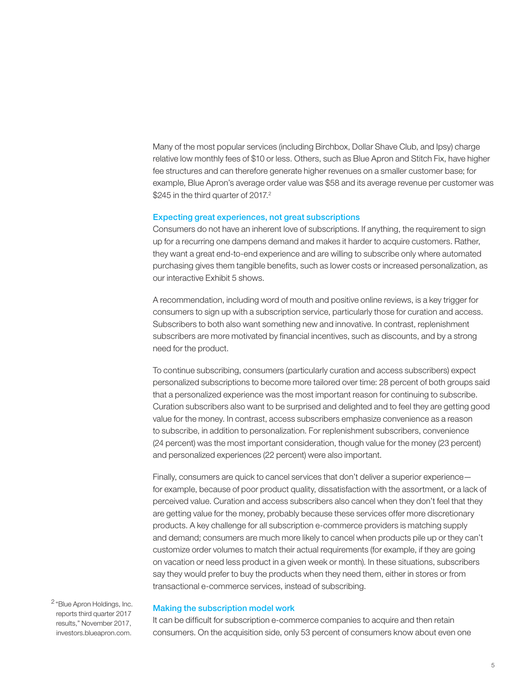Many of the most popular services (including Birchbox, Dollar Shave Club, and Ipsy) charge relative low monthly fees of \$10 or less. Others, such as Blue Apron and Stitch Fix, have higher fee structures and can therefore generate higher revenues on a smaller customer base; for example, Blue Apron's average order value was \$58 and its average revenue per customer was \$245 in the third quarter of 2017.<sup>2</sup>

#### Expecting great experiences, not great subscriptions

Consumers do not have an inherent love of subscriptions. If anything, the requirement to sign up for a recurring one dampens demand and makes it harder to acquire customers. Rather, they want a great end-to-end experience and are willing to subscribe only where automated purchasing gives them tangible benefits, such as lower costs or increased personalization, as our interactive Exhibit 5 shows.

A recommendation, including word of mouth and positive online reviews, is a key trigger for consumers to sign up with a subscription service, particularly those for curation and access. Subscribers to both also want something new and innovative. In contrast, replenishment subscribers are more motivated by financial incentives, such as discounts, and by a strong need for the product.

To continue subscribing, consumers (particularly curation and access subscribers) expect personalized subscriptions to become more tailored over time: 28 percent of both groups said that a personalized experience was the most important reason for continuing to subscribe. Curation subscribers also want to be surprised and delighted and to feel they are getting good value for the money. In contrast, access subscribers emphasize convenience as a reason to subscribe, in addition to personalization. For replenishment subscribers, convenience (24 percent) was the most important consideration, though value for the money (23 percent) and personalized experiences (22 percent) were also important.

Finally, consumers are quick to cancel services that don't deliver a superior experience for example, because of poor product quality, dissatisfaction with the assortment, or a lack of perceived value. Curation and access subscribers also cancel when they don't feel that they are getting value for the money, probably because these services offer more discretionary products. A key challenge for all subscription e-commerce providers is matching supply and demand; consumers are much more likely to cancel when products pile up or they can't customize order volumes to match their actual requirements (for example, if they are going on vacation or need less product in a given week or month). In these situations, subscribers say they would prefer to buy the products when they need them, either in stores or from transactional e-commerce services, instead of subscribing.

<sup>2</sup> "Blue Apron Holdings, Inc. reports third quarter 2017 results," November 2017, investors.blueapron.com.

#### Making the subscription model work

It can be difficult for subscription e-commerce companies to acquire and then retain consumers. On the acquisition side, only 53 percent of consumers know about even one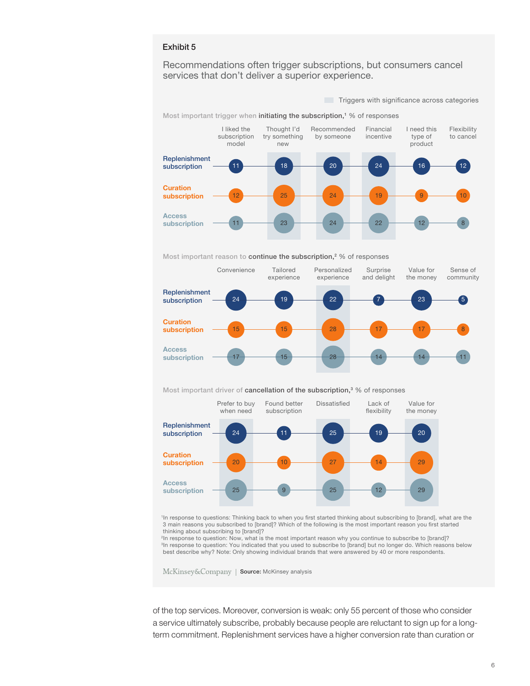#### Exhibit 5

Recommendations often trigger subscriptions, but consumers cancel services that don't deliver a superior experience.

Most important trigger when initiating the subscription,<sup>1</sup> % of responses Triggers with significance across categories Replenishment subscription **Curation** subscription Access subscription I liked the subscription model Thought I'd try something new Recommended by someone Financial incentive I need this type of product Flexibility to cancel 11 **18 20 20 24 24 24 26 26 27 28 28 29 20 20** 212  $12$  25  $\frac{1}{2}$  24  $\frac{1}{2}$  19  $\frac{1}{2}$  9  $\frac{1}{2}$  10 11 **23 24 22 12 3** 

Most important reason to continue the subscription,<sup>2</sup> % of responses



Most important driver of cancellation of the subscription,<sup>3</sup> % of responses



<sup>1</sup>In response to questions: Thinking back to when you first started thinking about subscribing to [brand], what are the 3 main reasons you subscribed to [brand]? Which of the following is the most important reason you first started thinking about subscribing to [brand]?

<sup>2</sup>In response to question: Now, what is the most important reason why you continue to subscribe to [brand]? <sup>3</sup>In response to question: You indicated that you used to subscribe to [brand] but no longer do. Which reasons below best describe why? Note: Only showing individual brands that were answered by 40 or more respondents.

McKinsey&Company | Source: McKinsey analysis

of the top services. Moreover, conversion is weak: only 55 percent of those who consider a service ultimately subscribe, probably because people are reluctant to sign up for a longterm commitment. Replenishment services have a higher conversion rate than curation or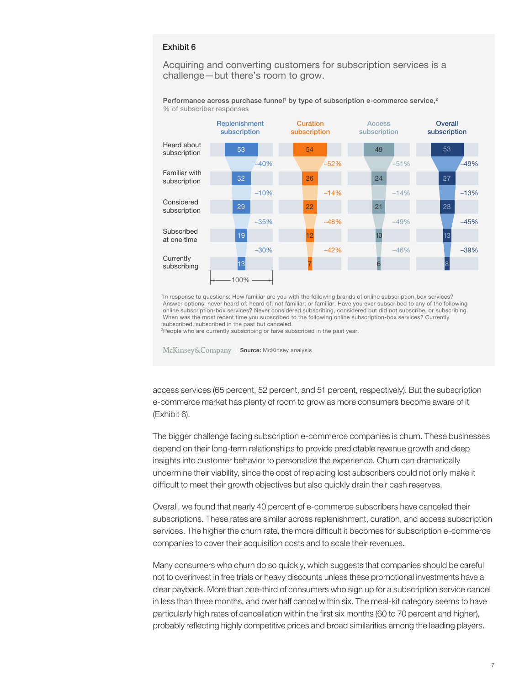#### Exhibit 6

Acquiring and converting customers for subscription services is a challenge—but there's room to grow.

Performance across purchase funnel<sup>1</sup> by type of subscription e-commerce service,<sup>2</sup> % of subscriber responses



1In response to questions: How familiar are you with the following brands of online subscription-box services? Answer options: never heard of; heard of, not familiar; or familiar. Have you ever subscribed to any of the following online subscription-box services? Never considered subscribing, considered but did not subscribe, or subscribing. When was the most recent time you subscribed to the following online subscription-box services? Currently subscribed, subscribed in the past but canceled.

<sup>2</sup>People who are currently subscribing or have subscribed in the past year.

McKinsey&Company | Source: McKinsey analysis

access services (65 percent, 52 percent, and 51 percent, respectively). But the subscription e-commerce market has plenty of room to grow as more consumers become aware of it (Exhibit 6).

The bigger challenge facing subscription e-commerce companies is churn. These businesses depend on their long-term relationships to provide predictable revenue growth and deep insights into customer behavior to personalize the experience. Churn can dramatically undermine their viability, since the cost of replacing lost subscribers could not only make it difficult to meet their growth objectives but also quickly drain their cash reserves.

Overall, we found that nearly 40 percent of e-commerce subscribers have canceled their subscriptions. These rates are similar across replenishment, curation, and access subscription services. The higher the churn rate, the more difficult it becomes for subscription e-commerce companies to cover their acquisition costs and to scale their revenues.

Many consumers who churn do so quickly, which suggests that companies should be careful not to overinvest in free trials or heavy discounts unless these promotional investments have a clear payback. More than one-third of consumers who sign up for a subscription service cancel in less than three months, and over half cancel within six. The meal-kit category seems to have particularly high rates of cancellation within the first six months (60 to 70 percent and higher), probably reflecting highly competitive prices and broad similarities among the leading players.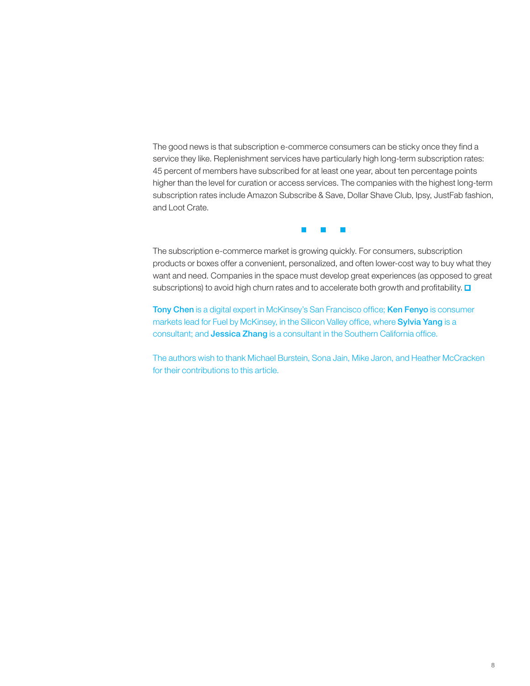The good news is that subscription e-commerce consumers can be sticky once they find a service they like. Replenishment services have particularly high long-term subscription rates: 45 percent of members have subscribed for at least one year, about ten percentage points higher than the level for curation or access services. The companies with the highest long-term subscription rates include Amazon Subscribe & Save, Dollar Shave Club, Ipsy, JustFab fashion, and Loot Crate.



The subscription e-commerce market is growing quickly. For consumers, subscription products or boxes offer a convenient, personalized, and often lower-cost way to buy what they want and need. Companies in the space must develop great experiences (as opposed to great subscriptions) to avoid high churn rates and to accelerate both growth and profitability.  $\Box$ 

Tony Chen is a digital expert in McKinsey's San Francisco office; Ken Fenyo is consumer markets lead for Fuel by McKinsey, in the Silicon Valley office, where Sylvia Yang is a consultant; and Jessica Zhang is a consultant in the Southern California office.

The authors wish to thank Michael Burstein, Sona Jain, Mike Jaron, and Heather McCracken for their contributions to this article.